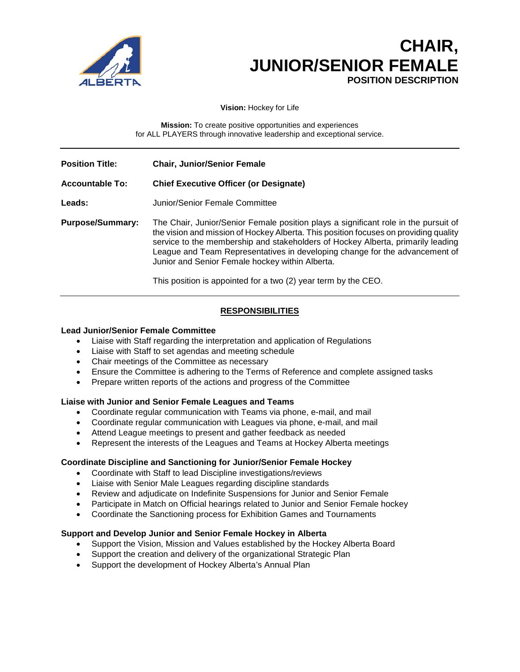

# **CHAIR, JUNIOR/SENIOR FEMALE POSITION DESCRIPTION**

**Vision:** Hockey for Life

**Mission:** To create positive opportunities and experiences for ALL PLAYERS through innovative leadership and exceptional service.

| <b>Position Title:</b>  | <b>Chair, Junior/Senior Female</b>                                                                                                                                                                                                                                                                                                                                                                                                                                 |
|-------------------------|--------------------------------------------------------------------------------------------------------------------------------------------------------------------------------------------------------------------------------------------------------------------------------------------------------------------------------------------------------------------------------------------------------------------------------------------------------------------|
| <b>Accountable To:</b>  | <b>Chief Executive Officer (or Designate)</b>                                                                                                                                                                                                                                                                                                                                                                                                                      |
| Leads:                  | Junior/Senior Female Committee                                                                                                                                                                                                                                                                                                                                                                                                                                     |
| <b>Purpose/Summary:</b> | The Chair, Junior/Senior Female position plays a significant role in the pursuit of<br>the vision and mission of Hockey Alberta. This position focuses on providing quality<br>service to the membership and stakeholders of Hockey Alberta, primarily leading<br>League and Team Representatives in developing change for the advancement of<br>Junior and Senior Female hockey within Alberta.<br>This position is appointed for a two (2) year term by the CEO. |

## **RESPONSIBILITIES**

### **Lead Junior/Senior Female Committee**

- Liaise with Staff regarding the interpretation and application of Regulations
- Liaise with Staff to set agendas and meeting schedule
- Chair meetings of the Committee as necessary
- Ensure the Committee is adhering to the Terms of Reference and complete assigned tasks
- Prepare written reports of the actions and progress of the Committee

#### **Liaise with Junior and Senior Female Leagues and Teams**

- Coordinate regular communication with Teams via phone, e-mail, and mail
- Coordinate regular communication with Leagues via phone, e-mail, and mail
- Attend League meetings to present and gather feedback as needed
- Represent the interests of the Leagues and Teams at Hockey Alberta meetings

#### **Coordinate Discipline and Sanctioning for Junior/Senior Female Hockey**

- Coordinate with Staff to lead Discipline investigations/reviews
- Liaise with Senior Male Leagues regarding discipline standards
- Review and adjudicate on Indefinite Suspensions for Junior and Senior Female
- Participate in Match on Official hearings related to Junior and Senior Female hockey
- Coordinate the Sanctioning process for Exhibition Games and Tournaments

#### **Support and Develop Junior and Senior Female Hockey in Alberta**

- Support the Vision, Mission and Values established by the Hockey Alberta Board
- Support the creation and delivery of the organizational Strategic Plan
- Support the development of Hockey Alberta's Annual Plan